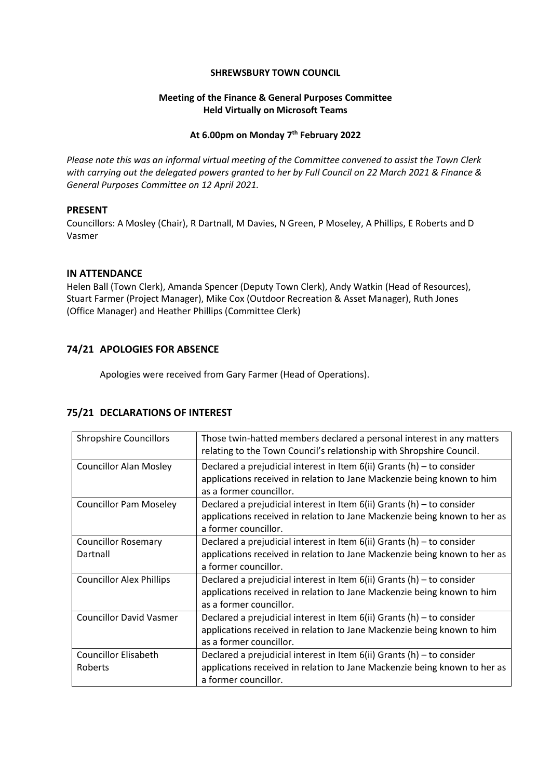#### **SHREWSBURY TOWN COUNCIL**

## **Meeting of the Finance & General Purposes Committee Held Virtually on Microsoft Teams**

# **At 6.00pm on Monday 7 th February 2022**

*Please note this was an informal virtual meeting of the Committee convened to assist the Town Clerk with carrying out the delegated powers granted to her by Full Council on 22 March 2021 & Finance & General Purposes Committee on 12 April 2021.*

### **PRESENT**

Councillors: A Mosley (Chair), R Dartnall, M Davies, N Green, P Moseley, A Phillips, E Roberts and D Vasmer

# **IN ATTENDANCE**

Helen Ball (Town Clerk), Amanda Spencer (Deputy Town Clerk), Andy Watkin (Head of Resources), Stuart Farmer (Project Manager), Mike Cox (Outdoor Recreation & Asset Manager), Ruth Jones (Office Manager) and Heather Phillips (Committee Clerk)

# **74/21 APOLOGIES FOR ABSENCE**

Apologies were received from Gary Farmer (Head of Operations).

# **75/21 DECLARATIONS OF INTEREST**

| <b>Shropshire Councillors</b>          | Those twin-hatted members declared a personal interest in any matters<br>relating to the Town Council's relationship with Shropshire Council.                                 |
|----------------------------------------|-------------------------------------------------------------------------------------------------------------------------------------------------------------------------------|
| <b>Councillor Alan Mosley</b>          | Declared a prejudicial interest in Item $6(ii)$ Grants (h) – to consider<br>applications received in relation to Jane Mackenzie being known to him<br>as a former councillor. |
| <b>Councillor Pam Moseley</b>          | Declared a prejudicial interest in Item $6(ii)$ Grants (h) – to consider<br>applications received in relation to Jane Mackenzie being known to her as<br>a former councillor. |
| <b>Councillor Rosemary</b><br>Dartnall | Declared a prejudicial interest in Item $6(ii)$ Grants (h) – to consider<br>applications received in relation to Jane Mackenzie being known to her as<br>a former councillor. |
| <b>Councillor Alex Phillips</b>        | Declared a prejudicial interest in Item $6(ii)$ Grants (h) – to consider<br>applications received in relation to Jane Mackenzie being known to him<br>as a former councillor. |
| <b>Councillor David Vasmer</b>         | Declared a prejudicial interest in Item $6(ii)$ Grants (h) – to consider<br>applications received in relation to Jane Mackenzie being known to him<br>as a former councillor. |
| <b>Councillor Elisabeth</b><br>Roberts | Declared a prejudicial interest in Item $6(ii)$ Grants (h) – to consider<br>applications received in relation to Jane Mackenzie being known to her as<br>a former councillor. |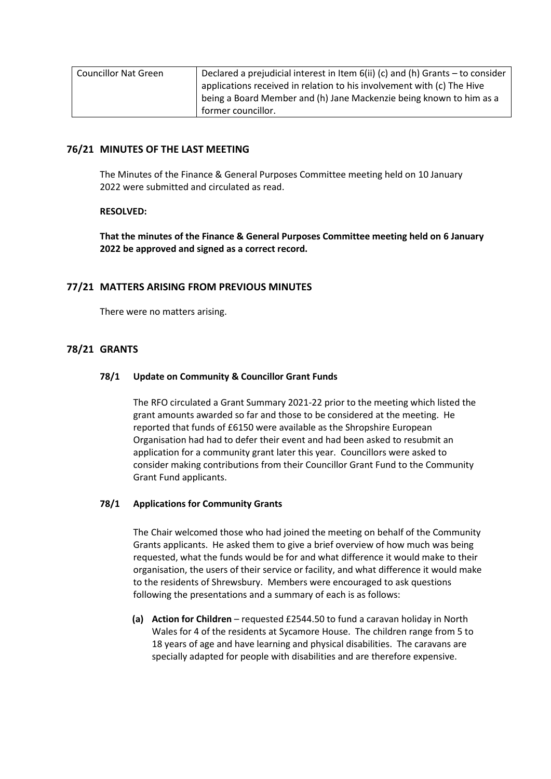| <b>Councillor Nat Green</b> | Declared a prejudicial interest in Item $6(ii)$ (c) and (h) Grants – to consider |
|-----------------------------|----------------------------------------------------------------------------------|
|                             | applications received in relation to his involvement with (c) The Hive           |
|                             | being a Board Member and (h) Jane Mackenzie being known to him as a              |
|                             | former councillor.                                                               |

# **76/21 MINUTES OF THE LAST MEETING**

The Minutes of the Finance & General Purposes Committee meeting held on 10 January 2022 were submitted and circulated as read.

### **RESOLVED:**

**That the minutes of the Finance & General Purposes Committee meeting held on 6 January 2022 be approved and signed as a correct record.**

# **77/21 MATTERS ARISING FROM PREVIOUS MINUTES**

There were no matters arising.

# **78/21 GRANTS**

#### **78/1 Update on Community & Councillor Grant Funds**

The RFO circulated a Grant Summary 2021-22 prior to the meeting which listed the grant amounts awarded so far and those to be considered at the meeting. He reported that funds of £6150 were available as the Shropshire European Organisation had had to defer their event and had been asked to resubmit an application for a community grant later this year. Councillors were asked to consider making contributions from their Councillor Grant Fund to the Community Grant Fund applicants.

### **78/1 Applications for Community Grants**

The Chair welcomed those who had joined the meeting on behalf of the Community Grants applicants. He asked them to give a brief overview of how much was being requested, what the funds would be for and what difference it would make to their organisation, the users of their service or facility, and what difference it would make to the residents of Shrewsbury. Members were encouraged to ask questions following the presentations and a summary of each is as follows:

**(a) Action for Children** – requested £2544.50 to fund a caravan holiday in North Wales for 4 of the residents at Sycamore House. The children range from 5 to 18 years of age and have learning and physical disabilities. The caravans are specially adapted for people with disabilities and are therefore expensive.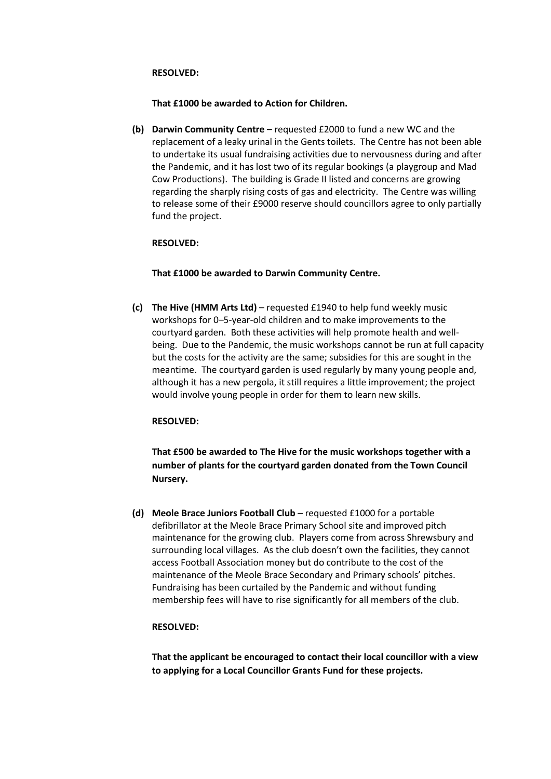#### **RESOLVED:**

#### **That £1000 be awarded to Action for Children.**

**(b) Darwin Community Centre** – requested £2000 to fund a new WC and the replacement of a leaky urinal in the Gents toilets. The Centre has not been able to undertake its usual fundraising activities due to nervousness during and after the Pandemic, and it has lost two of its regular bookings (a playgroup and Mad Cow Productions). The building is Grade II listed and concerns are growing regarding the sharply rising costs of gas and electricity. The Centre was willing to release some of their £9000 reserve should councillors agree to only partially fund the project.

### **RESOLVED:**

# **That £1000 be awarded to Darwin Community Centre.**

**(c) The Hive (HMM Arts Ltd)** – requested £1940 to help fund weekly music workshops for 0–5-year-old children and to make improvements to the courtyard garden. Both these activities will help promote health and wellbeing. Due to the Pandemic, the music workshops cannot be run at full capacity but the costs for the activity are the same; subsidies for this are sought in the meantime. The courtyard garden is used regularly by many young people and, although it has a new pergola, it still requires a little improvement; the project would involve young people in order for them to learn new skills.

### **RESOLVED:**

**That £500 be awarded to The Hive for the music workshops together with a number of plants for the courtyard garden donated from the Town Council Nursery.**

**(d) Meole Brace Juniors Football Club** – requested £1000 for a portable defibrillator at the Meole Brace Primary School site and improved pitch maintenance for the growing club. Players come from across Shrewsbury and surrounding local villages. As the club doesn't own the facilities, they cannot access Football Association money but do contribute to the cost of the maintenance of the Meole Brace Secondary and Primary schools' pitches. Fundraising has been curtailed by the Pandemic and without funding membership fees will have to rise significantly for all members of the club.

### **RESOLVED:**

**That the applicant be encouraged to contact their local councillor with a view to applying for a Local Councillor Grants Fund for these projects.**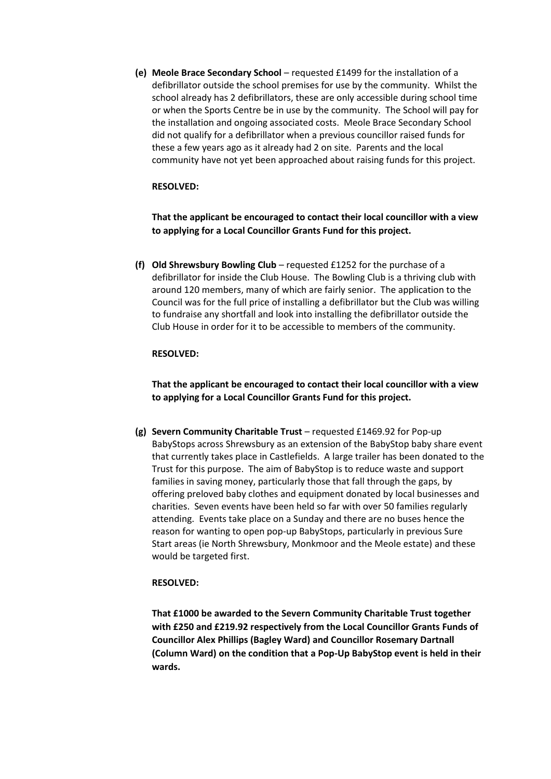**(e) Meole Brace Secondary School** – requested £1499 for the installation of a defibrillator outside the school premises for use by the community. Whilst the school already has 2 defibrillators, these are only accessible during school time or when the Sports Centre be in use by the community. The School will pay for the installation and ongoing associated costs. Meole Brace Secondary School did not qualify for a defibrillator when a previous councillor raised funds for these a few years ago as it already had 2 on site. Parents and the local community have not yet been approached about raising funds for this project.

## **RESOLVED:**

**That the applicant be encouraged to contact their local councillor with a view to applying for a Local Councillor Grants Fund for this project.**

**(f) Old Shrewsbury Bowling Club** – requested £1252 for the purchase of a defibrillator for inside the Club House. The Bowling Club is a thriving club with around 120 members, many of which are fairly senior. The application to the Council was for the full price of installing a defibrillator but the Club was willing to fundraise any shortfall and look into installing the defibrillator outside the Club House in order for it to be accessible to members of the community.

### **RESOLVED:**

**That the applicant be encouraged to contact their local councillor with a view to applying for a Local Councillor Grants Fund for this project.**

**(g) Severn Community Charitable Trust** – requested £1469.92 for Pop-up BabyStops across Shrewsbury as an extension of the BabyStop baby share event that currently takes place in Castlefields. A large trailer has been donated to the Trust for this purpose. The aim of BabyStop is to reduce waste and support families in saving money, particularly those that fall through the gaps, by offering preloved baby clothes and equipment donated by local businesses and charities. Seven events have been held so far with over 50 families regularly attending. Events take place on a Sunday and there are no buses hence the reason for wanting to open pop-up BabyStops, particularly in previous Sure Start areas (ie North Shrewsbury, Monkmoor and the Meole estate) and these would be targeted first.

### **RESOLVED:**

**That £1000 be awarded to the Severn Community Charitable Trust together with £250 and £219.92 respectively from the Local Councillor Grants Funds of Councillor Alex Phillips (Bagley Ward) and Councillor Rosemary Dartnall (Column Ward) on the condition that a Pop-Up BabyStop event is held in their wards.**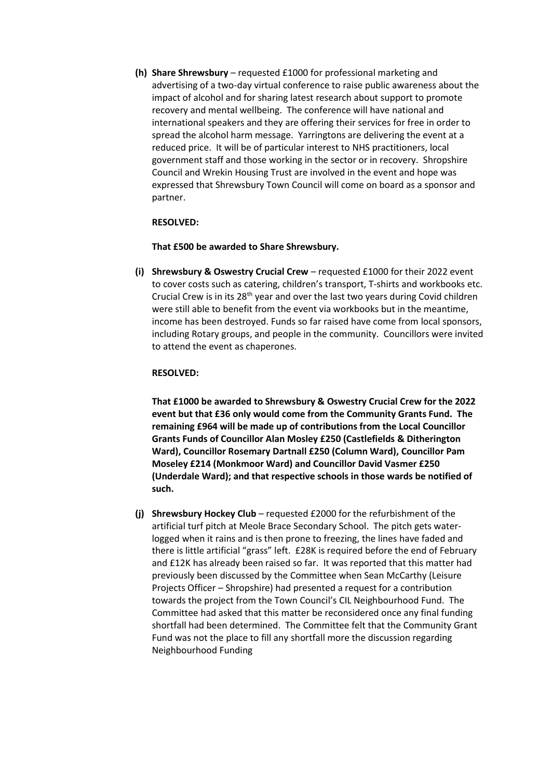**(h) Share Shrewsbury** – requested £1000 for professional marketing and advertising of a two-day virtual conference to raise public awareness about the impact of alcohol and for sharing latest research about support to promote recovery and mental wellbeing. The conference will have national and international speakers and they are offering their services for free in order to spread the alcohol harm message. Yarringtons are delivering the event at a reduced price. It will be of particular interest to NHS practitioners, local government staff and those working in the sector or in recovery. Shropshire Council and Wrekin Housing Trust are involved in the event and hope was expressed that Shrewsbury Town Council will come on board as a sponsor and partner.

### **RESOLVED:**

#### **That £500 be awarded to Share Shrewsbury.**

**(i) Shrewsbury & Oswestry Crucial Crew** – requested £1000 for their 2022 event to cover costs such as catering, children's transport, T-shirts and workbooks etc. Crucial Crew is in its  $28<sup>th</sup>$  year and over the last two years during Covid children were still able to benefit from the event via workbooks but in the meantime, income has been destroyed. Funds so far raised have come from local sponsors, including Rotary groups, and people in the community. Councillors were invited to attend the event as chaperones.

#### **RESOLVED:**

**That £1000 be awarded to Shrewsbury & Oswestry Crucial Crew for the 2022 event but that £36 only would come from the Community Grants Fund. The remaining £964 will be made up of contributions from the Local Councillor Grants Funds of Councillor Alan Mosley £250 (Castlefields & Ditherington Ward), Councillor Rosemary Dartnall £250 (Column Ward), Councillor Pam Moseley £214 (Monkmoor Ward) and Councillor David Vasmer £250 (Underdale Ward); and that respective schools in those wards be notified of such.**

**(j) Shrewsbury Hockey Club** – requested £2000 for the refurbishment of the artificial turf pitch at Meole Brace Secondary School. The pitch gets waterlogged when it rains and is then prone to freezing, the lines have faded and there is little artificial "grass" left. £28K is required before the end of February and £12K has already been raised so far. It was reported that this matter had previously been discussed by the Committee when Sean McCarthy (Leisure Projects Officer – Shropshire) had presented a request for a contribution towards the project from the Town Council's CIL Neighbourhood Fund. The Committee had asked that this matter be reconsidered once any final funding shortfall had been determined. The Committee felt that the Community Grant Fund was not the place to fill any shortfall more the discussion regarding Neighbourhood Funding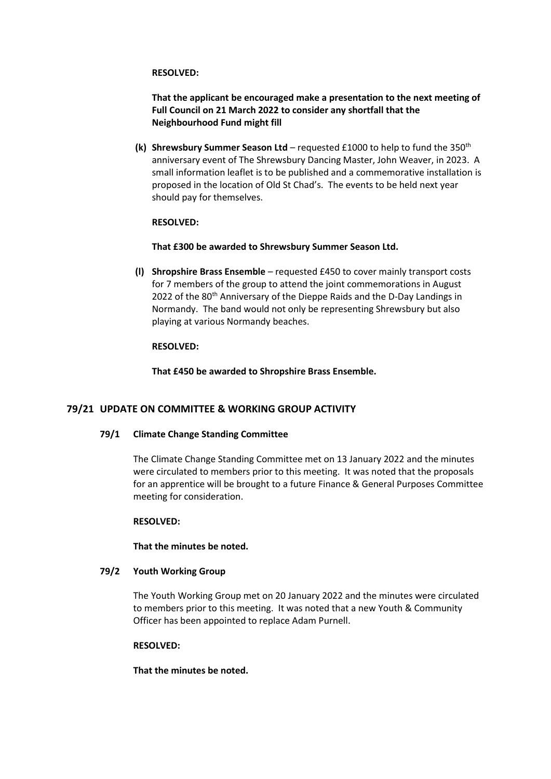#### **RESOLVED:**

**That the applicant be encouraged make a presentation to the next meeting of Full Council on 21 March 2022 to consider any shortfall that the Neighbourhood Fund might fill**

**(k) Shrewsbury Summer Season Ltd** – requested £1000 to help to fund the 350th anniversary event of The Shrewsbury Dancing Master, John Weaver, in 2023. A small information leaflet is to be published and a commemorative installation is proposed in the location of Old St Chad's. The events to be held next year should pay for themselves.

### **RESOLVED:**

#### **That £300 be awarded to Shrewsbury Summer Season Ltd.**

**(l) Shropshire Brass Ensemble** – requested £450 to cover mainly transport costs for 7 members of the group to attend the joint commemorations in August 2022 of the 80<sup>th</sup> Anniversary of the Dieppe Raids and the D-Day Landings in Normandy. The band would not only be representing Shrewsbury but also playing at various Normandy beaches.

#### **RESOLVED:**

**That £450 be awarded to Shropshire Brass Ensemble.**

### **79/21 UPDATE ON COMMITTEE & WORKING GROUP ACTIVITY**

### **79/1 Climate Change Standing Committee**

The Climate Change Standing Committee met on 13 January 2022 and the minutes were circulated to members prior to this meeting. It was noted that the proposals for an apprentice will be brought to a future Finance & General Purposes Committee meeting for consideration.

### **RESOLVED:**

**That the minutes be noted.**

#### **79/2 Youth Working Group**

The Youth Working Group met on 20 January 2022 and the minutes were circulated to members prior to this meeting. It was noted that a new Youth & Community Officer has been appointed to replace Adam Purnell.

#### **RESOLVED:**

**That the minutes be noted.**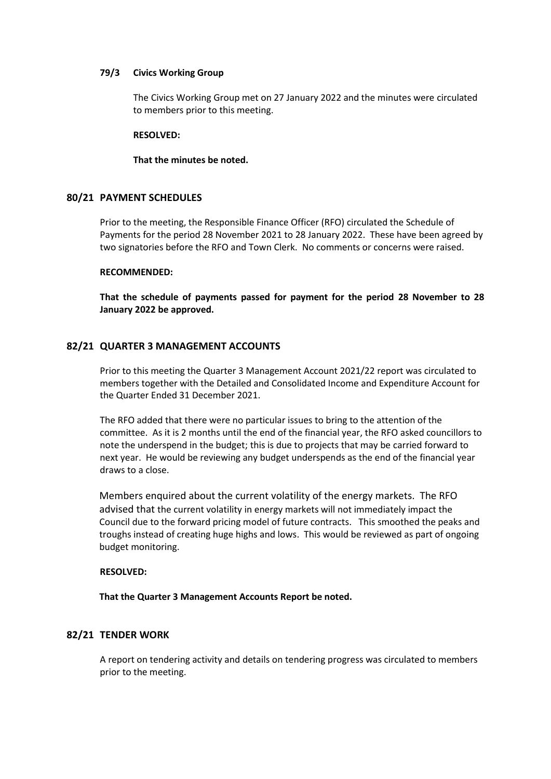#### **79/3 Civics Working Group**

The Civics Working Group met on 27 January 2022 and the minutes were circulated to members prior to this meeting.

#### **RESOLVED:**

#### **That the minutes be noted.**

### **80/21 PAYMENT SCHEDULES**

Prior to the meeting, the Responsible Finance Officer (RFO) circulated the Schedule of Payments for the period 28 November 2021 to 28 January 2022. These have been agreed by two signatories before the RFO and Town Clerk. No comments or concerns were raised.

#### **RECOMMENDED:**

**That the schedule of payments passed for payment for the period 28 November to 28 January 2022 be approved.**

### **82/21 QUARTER 3 MANAGEMENT ACCOUNTS**

Prior to this meeting the Quarter 3 Management Account 2021/22 report was circulated to members together with the Detailed and Consolidated Income and Expenditure Account for the Quarter Ended 31 December 2021.

The RFO added that there were no particular issues to bring to the attention of the committee. As it is 2 months until the end of the financial year, the RFO asked councillors to note the underspend in the budget; this is due to projects that may be carried forward to next year. He would be reviewing any budget underspends as the end of the financial year draws to a close.

Members enquired about the current volatility of the energy markets. The RFO advised that the current volatility in energy markets will not immediately impact the Council due to the forward pricing model of future contracts. This smoothed the peaks and troughs instead of creating huge highs and lows. This would be reviewed as part of ongoing budget monitoring.

### **RESOLVED:**

**That the Quarter 3 Management Accounts Report be noted.**

### **82/21 TENDER WORK**

A report on tendering activity and details on tendering progress was circulated to members prior to the meeting.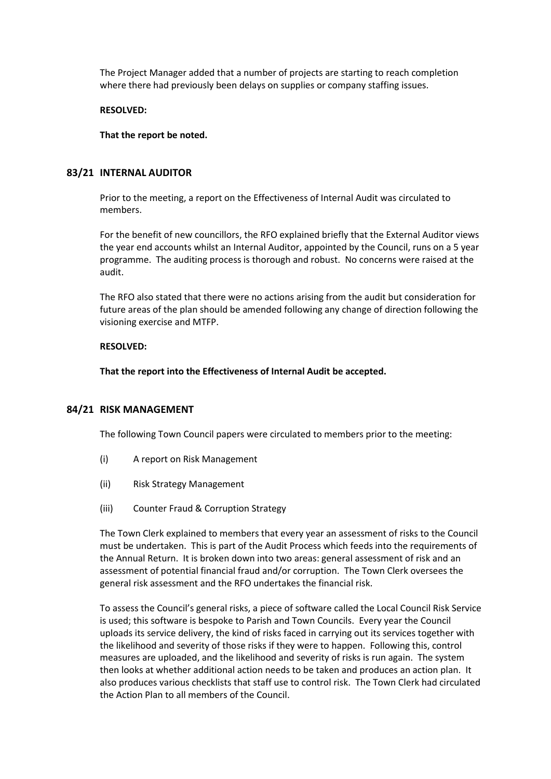The Project Manager added that a number of projects are starting to reach completion where there had previously been delays on supplies or company staffing issues.

#### **RESOLVED:**

#### **That the report be noted.**

## **83/21 INTERNAL AUDITOR**

Prior to the meeting, a report on the Effectiveness of Internal Audit was circulated to members.

For the benefit of new councillors, the RFO explained briefly that the External Auditor views the year end accounts whilst an Internal Auditor, appointed by the Council, runs on a 5 year programme. The auditing process is thorough and robust. No concerns were raised at the audit.

The RFO also stated that there were no actions arising from the audit but consideration for future areas of the plan should be amended following any change of direction following the visioning exercise and MTFP.

#### **RESOLVED:**

**That the report into the Effectiveness of Internal Audit be accepted.**

### **84/21 RISK MANAGEMENT**

The following Town Council papers were circulated to members prior to the meeting:

- (i) A report on Risk Management
- (ii) Risk Strategy Management
- (iii) Counter Fraud & Corruption Strategy

The Town Clerk explained to members that every year an assessment of risks to the Council must be undertaken. This is part of the Audit Process which feeds into the requirements of the Annual Return. It is broken down into two areas: general assessment of risk and an assessment of potential financial fraud and/or corruption. The Town Clerk oversees the general risk assessment and the RFO undertakes the financial risk.

To assess the Council's general risks, a piece of software called the Local Council Risk Service is used; this software is bespoke to Parish and Town Councils. Every year the Council uploads its service delivery, the kind of risks faced in carrying out its services together with the likelihood and severity of those risks if they were to happen. Following this, control measures are uploaded, and the likelihood and severity of risks is run again. The system then looks at whether additional action needs to be taken and produces an action plan. It also produces various checklists that staff use to control risk. The Town Clerk had circulated the Action Plan to all members of the Council.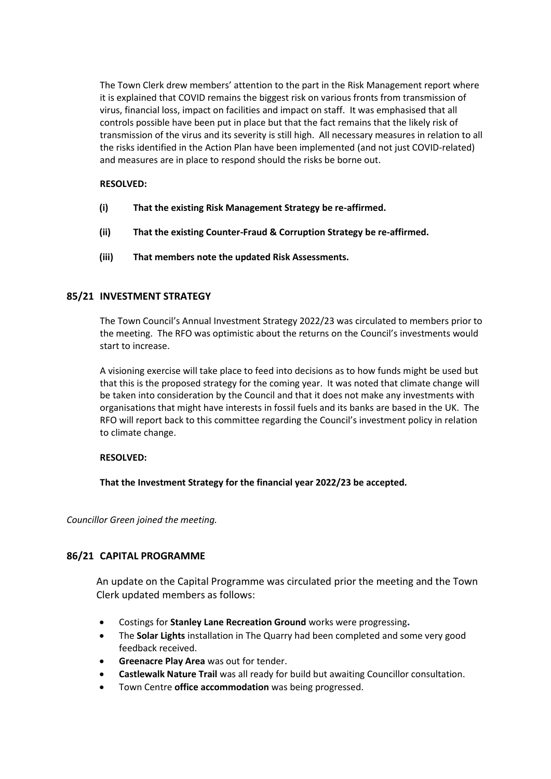The Town Clerk drew members' attention to the part in the Risk Management report where it is explained that COVID remains the biggest risk on various fronts from transmission of virus, financial loss, impact on facilities and impact on staff. It was emphasised that all controls possible have been put in place but that the fact remains that the likely risk of transmission of the virus and its severity is still high. All necessary measures in relation to all the risks identified in the Action Plan have been implemented (and not just COVID-related) and measures are in place to respond should the risks be borne out.

# **RESOLVED:**

- **(i) That the existing Risk Management Strategy be re-affirmed.**
- **(ii) That the existing Counter-Fraud & Corruption Strategy be re-affirmed.**
- **(iii) That members note the updated Risk Assessments.**

# **85/21 INVESTMENT STRATEGY**

The Town Council's Annual Investment Strategy 2022/23 was circulated to members prior to the meeting. The RFO was optimistic about the returns on the Council's investments would start to increase.

A visioning exercise will take place to feed into decisions as to how funds might be used but that this is the proposed strategy for the coming year. It was noted that climate change will be taken into consideration by the Council and that it does not make any investments with organisations that might have interests in fossil fuels and its banks are based in the UK. The RFO will report back to this committee regarding the Council's investment policy in relation to climate change.

### **RESOLVED:**

**That the Investment Strategy for the financial year 2022/23 be accepted.**

*Councillor Green joined the meeting.*

# **86/21 CAPITAL PROGRAMME**

An update on the Capital Programme was circulated prior the meeting and the Town Clerk updated members as follows:

- Costings for **Stanley Lane Recreation Ground** works were progressing**.**
- The **Solar Lights** installation in The Quarry had been completed and some very good feedback received.
- **Greenacre Play Area** was out for tender.
- **Castlewalk Nature Trail** was all ready for build but awaiting Councillor consultation.
- Town Centre **office accommodation** was being progressed.